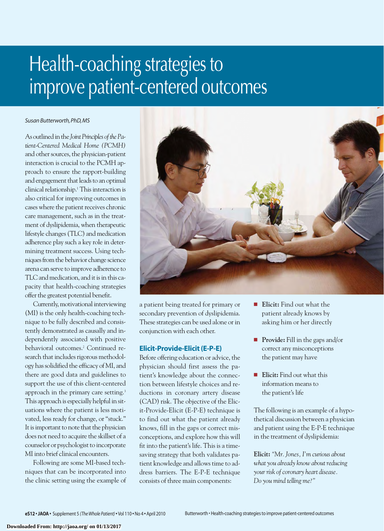# Health-coaching strategies to improve patient-centered outcomes

#### *Susan Butterworth, PhD, MS*

As outlined in the *Joint Principles of the Patient-Centered Medical Home (PCMH)* and other sources, the physician-patient interaction is crucial to the PCMH approach to ensure the rapport-building and engagement that leads to an optimal clinical relationship.1 This interaction is also critical for improving outcomes in cases where the patient receives chronic care management, such as in the treatment of dyslipidemia, when therapeutic lifestyle changes (TLC) and medication adherence play such a key role in determining treatment success. Using techniques from the behavior change science arena can serve to improve adherence to TLC and medication, and it is in this capacity that health-coaching strategies offer the greatest potential benefit.

Currently, motivational interviewing (MI) is the only health-coaching technique to be fully described and consistently demonstrated as causally and independently associated with positive behavioral outcomes.<sup>2</sup> Continued research that includes rigorous methodology has solidified the efficacy of MI, and there are good data and guidelines to support the use of this client-centered approach in the primary care setting.3 This approach is especially helpful in situations where the patient is less motivated, less ready for change, or "stuck." It is important to note that the physician does not need to acquire the skillset of a counselor or psychologist to incorporate MI into brief clinical encounters.

Following are some MI-based techniques that can be incorporated into the clinic setting using the example of



a patient being treated for primary or secondary prevention of dyslipidemia. These strategies can be used alone or in conjunction with each other.

# **Elicit-Provide-Elicit (E-P-E)**

Before offering education or advice, the physician should first assess the patient's knowledge about the connection between lifestyle choices and reductions in coronary artery disease (CAD) risk. The objective of the Elicit-Provide-Elicit (E-P-E) technique is to find out what the patient already knows, fill in the gaps or correct misconceptions, and explore how this will fit into the patient's life. This is a timesaving strategy that both validates patient knowledge and allows time to address barriers. The E-P-E technique consists of three main components:

- Elicit: Find out what the patient already knows by asking him or her directly
- **Provide:** Fill in the gaps and/or correct any misconceptions the patient may have
- Elicit: Find out what this information means to the patient's life

The following is an example of a hypothetical discussion between a physician and patient using the E-P-E technique in the treatment of dyslipidemia:

**Elicit:** *"Mr. Jones, I'm curious about what you already know about reducing your risk of coronary heart disease. Do you mind telling me?"*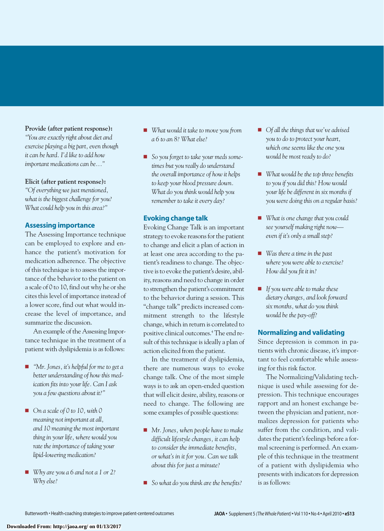#### **Provide (after patient response):**

*"You are exactly right about diet and exercise playing a big part, even though it can be hard. I'd like to add how important medications can be..."*

## **Elicit (after patient response):**

*"Of everything we just mentioned, what is the biggest challenge for you? What could help you in this area?"*

# **Assessing importance**

The Assessing Importance technique can be employed to explore and enhance the patient's motivation for medication adherence. The objective of this technique is to assess the importance of the behavior to the patient on a scale of 0 to 10, find out why he or she cites this level of importance instead of a lower score, find out what would increase the level of importance, and summarize the discussion.

An example of the Assessing Importance technique in the treatment of a patient with dyslipidemia is as follows:

- *"Mr. Jones, it's helpful for me to get a better understanding of how this medication fits into your life. Can I ask you a few questions about it?"*
- *On a scale of 0 to 10, with 0 meaning not important at all, and 10 meaning the most important thing in your life, where would you rate the importance of taking your lipid-lowering medication?*
- *Why are you a 6 and not a 1 or 2? Why else?*
- *What would it take to move you from a 6 to an 8? What else?*
- *So you forget to take your meds sometimes but you really do understand the overall importance of how it helps to keep your blood pressure down. What do you think would help you remember to take it every day?*

# **Evoking change talk**

Evoking Change Talk is an important strategy to evoke reasons for the patient to change and elicit a plan of action in at least one area according to the patient's readiness to change. The objective is to evoke the patient's desire, ability, reasons and need to change in order to strengthen the patient's commitment to the behavior during a session. This "change talk" predicts increased commitment strength to the lifestyle change, which in return is correlated to positive clinical outcomes.4 The end result of this technique is ideally a plan of action elicited from the patient.

In the treatment of dyslipidemia, there are numerous ways to evoke change talk. One of the most simple ways is to ask an open-ended question that will elicit desire, ability, reasons or need to change. The following are some examples of possible questions:

- *Mr. Jones, when people have to make difficult lifestyle changes, it can help to consider the immediate benefits, or what's in it for you. Can we talk about this for just a minute?*
- *So what do you think are the benefits?*
- *Of all the things that we've advised you to do to protect your heart, which one seems like the one you would be most ready to do?*
- *What would be the top three benefits to you if you did this? How would your life be different in six months if you were doing this on a regular basis?*
- *What is one change that you could see yourself making right now even if it's only a small step?*
- *Was there a time in the past where you were able to exercise? How did you fit it in?*
- *If you were able to make these dietary changes, and look forward six months, what do you think would be the pay-off?*

## **Normalizing and validating**

Since depression is common in patients with chronic disease, it's important to feel comfortable while assessing for this risk factor.

The Normalizing/Validating technique is used while assessing for depression. This technique encourages rapport and an honest exchange between the physician and patient, normalizes depression for patients who suffer from the condition, and validates the patient's feelings before a formal screening is performed. An example of this technique in the treatment of a patient with dyslipidemia who presents with indicators for depression is as follows: